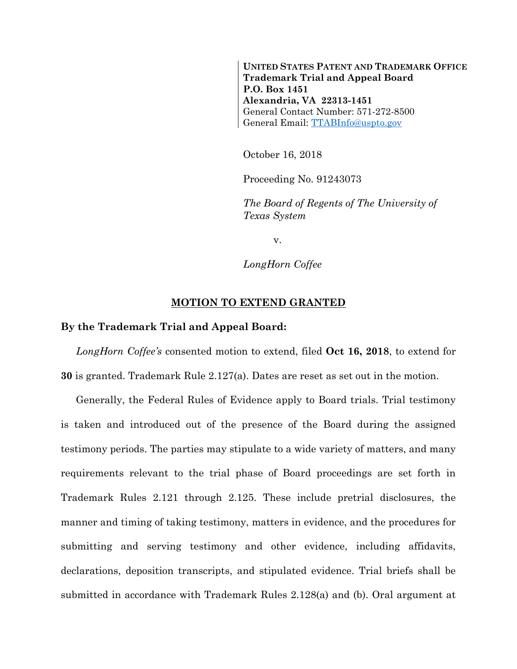**UNITED STATES PATENT AND TRADEMARK OFFICE Trademark Trial and Appeal Board P.O. Box 1451 Alexandria, VA 22313-1451** General Contact Number: 571-272-8500 General Email: [TTABInfo@uspto.gov](mailto:TTABInfo@uspto.gov)

October 16, 2018

Proceeding No. 91243073

*The Board of Regents of The University of Texas System*

v.

*LongHorn Coffee*

## **MOTION TO EXTEND GRANTED**

## **By the Trademark Trial and Appeal Board:**

*LongHorn Coffee's* consented motion to extend, filed **Oct 16, 2018**, to extend for **30** is granted. Trademark Rule 2.127(a). Dates are reset as set out in the motion.

Generally, the Federal Rules of Evidence apply to Board trials. Trial testimony is taken and introduced out of the presence of the Board during the assigned testimony periods. The parties may stipulate to a wide variety of matters, and many requirements relevant to the trial phase of Board proceedings are set forth in Trademark Rules 2.121 through 2.125. These include pretrial disclosures, the manner and timing of taking testimony, matters in evidence, and the procedures for submitting and serving testimony and other evidence, including affidavits, declarations, deposition transcripts, and stipulated evidence. Trial briefs shall be submitted in accordance with Trademark Rules 2.128(a) and (b). Oral argument at